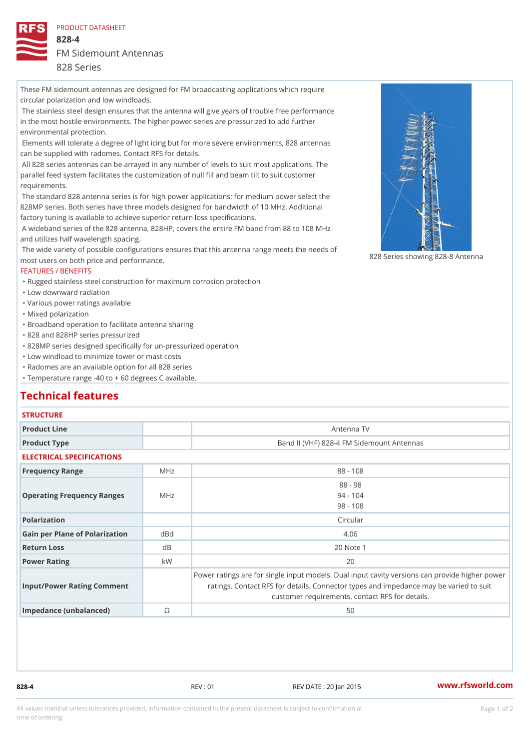### PRODUCT DATASHEET

828-4

FM Sidemount Antennas

## 828 Series

These FM sidemount antennas are designed for FM broadcasting applications which require circular polarization and low windloads. The stainless steel design ensures that the antenna will give years of trouble free performance

in the most hostile environments. The higher power series are pressurized to add further environmental protection.

 Elements will tolerate a degree of light icing but for more severe environments, 828 antennas can be supplied with radomes. Contact RFS for details.

 All 828 series antennas can be arrayed in any number of levels to suit most applications. The parallel feed system facilitates the customization of null fill and beam tilt to suit customer requirements.

 The standard 828 antenna series is for high power applications; for medium power select the 828MP series. Both series have three models designed for bandwidth of 10 MHz. Additional factory tuning is available to achieve superior return loss specifications.

 A wideband series of the 828 antenna, 828HP, covers the entire FM band from 88 to 108 MHz and utilizes half wavelength spacing.

 The wide variety of possible configurations ensures that this antenna range meets the needs of most users on both price and performance. 828 Series showing 828-8 Anten

# FEATURES / BENEFITS

"Rugged stainless steel construction for maximum corrosion protection

"Low downward radiation

"Various power ratings available

"Mixed polarization

"Broadband operation to facilitate antenna sharing

"828 and 828HP series pressurized

"828MP series designed specifically for un-pressurized operation

"Low windload to minimize tower or mast costs

"Radomes are an available option for all 828 series

"Temperature range -40 to + 60 degrees C available.

# Technical features

# **STRUCTURE**

| Product Line                      |     | Antenna TV                                                                                                                                                                               |
|-----------------------------------|-----|------------------------------------------------------------------------------------------------------------------------------------------------------------------------------------------|
| Product Type                      |     | Band II (VHF) 828-4 FM Sidemount Antennas                                                                                                                                                |
| ELECTRICAL SPECIFICATIONS         |     |                                                                                                                                                                                          |
| Frequency Range                   | MHz | $88 - 108$                                                                                                                                                                               |
| Operating Frequency RangeMeHz     |     | $88 - 98$<br>$94 - 104$<br>$98 - 108$                                                                                                                                                    |
| Polarization                      |     | Circular                                                                                                                                                                                 |
| Gain per Plane of Polarizat doBnd |     | 4.06                                                                                                                                                                                     |
| Return Loss                       | d B | 20 Note 1                                                                                                                                                                                |
| Power Rating                      | k W | 20                                                                                                                                                                                       |
| Input/Power Rating Comment        |     | Power ratings are for single input models. Dual input cavity versid<br>ratings. Contact RFS for details. Connector types and impedant<br>customer requirements, contact RFS for details. |

Impedance (unbalanced) ©  $\qquad \qquad$  50

828-4 REV : 01 REV DATE : 20 Jan 2015 [www.](https://www.rfsworld.com)rfsworld.com